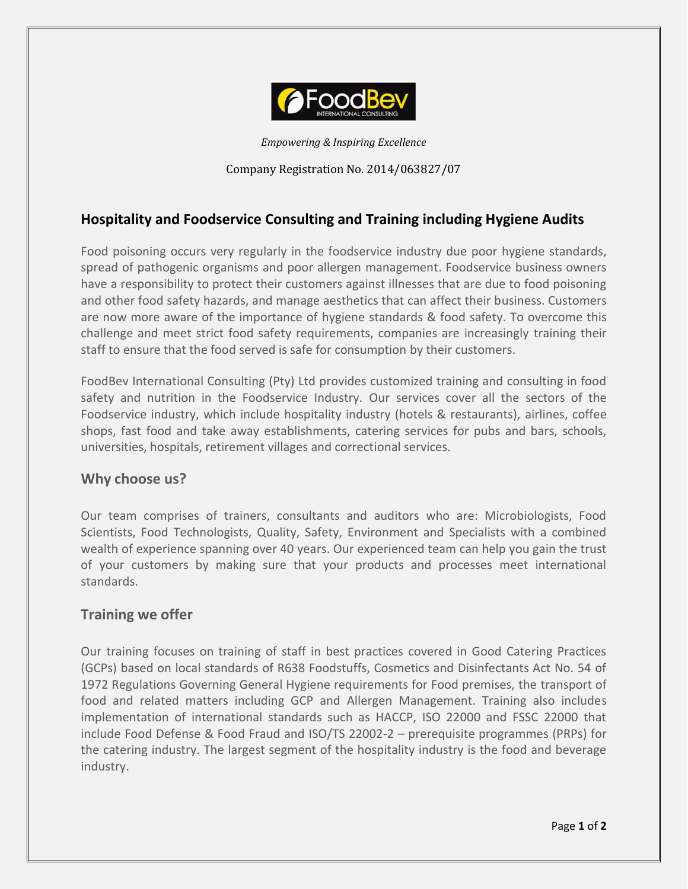

*Empowering & Inspiring Excellence*

Company Registration No. 2014/063827/07

# **Hospitality and Foodservice Consulting and Training including Hygiene Audits**

Food poisoning occurs very regularly in the foodservice industry due poor hygiene standards, spread of pathogenic organisms and poor allergen management. Foodservice business owners have a responsibility to protect their customers against illnesses that are due to food poisoning and other food safety hazards, and manage aesthetics that can affect their business. Customers are now more aware of the importance of hygiene standards & food safety. To overcome this challenge and meet strict food safety requirements, companies are increasingly training their staff to ensure that the food served is safe for consumption by their customers.

FoodBev International Consulting (Pty) Ltd provides customized training and consulting in food safety and nutrition in the Foodservice Industry. Our services cover all the sectors of the Foodservice industry, which include hospitality industry (hotels & restaurants), airlines, coffee shops, fast food and take away establishments, catering services for pubs and bars, schools, universities, hospitals, retirement villages and correctional services.

## **Why choose us?**

Our team comprises of trainers, consultants and auditors who are: Microbiologists, Food Scientists, Food Technologists, Quality, Safety, Environment and Specialists with a combined wealth of experience spanning over 40 years. Our experienced team can help you gain the trust of your customers by making sure that your products and processes meet international standards.

## **Training we offer**

Our training focuses on training of staff in best practices covered in Good Catering Practices (GCPs) based on local standards of R638 Foodstuffs, Cosmetics and Disinfectants Act No. 54 of 1972 Regulations Governing General Hygiene requirements for Food premises, the transport of food and related matters including GCP and Allergen Management. Training also includes implementation of international standards such as HACCP, ISO 22000 and FSSC 22000 that include Food Defense & Food Fraud and ISO/TS 22002-2 – prerequisite programmes (PRPs) for the catering industry. The largest segment of the hospitality industry is the food and beverage industry.